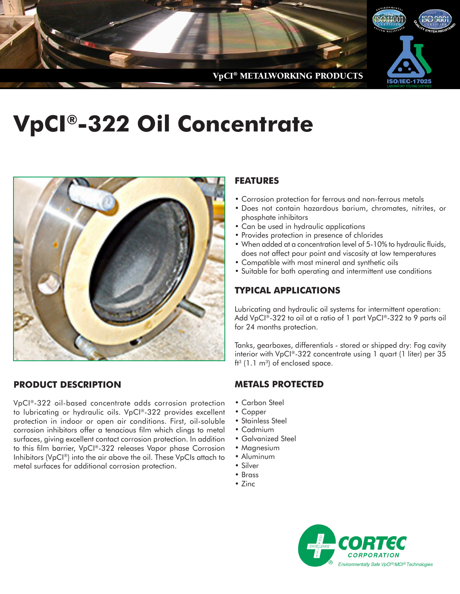

# **VpCI®-322 Oil Concentrate**



## **PRODUCT DESCRIPTION**

VpCI®-322 oil-based concentrate adds corrosion protection to lubricating or hydraulic oils. VpCI®-322 provides excellent protection in indoor or open air conditions. First, oil-soluble corrosion inhibitors offer a tenacious film which clings to metal surfaces, giving excellent contact corrosion protection. In addition to this film barrier, VpCI®-322 releases Vapor phase Corrosion Inhibitors (VpCI®) into the air above the oil. These VpCIs attach to metal surfaces for additional corrosion protection.

## **FEATURES**

- Corrosion protection for ferrous and non-ferrous metals
- Does not contain hazardous barium, chromates, nitrites, or phosphate inhibitors
- Can be used in hydraulic applications
- Provides protection in presence of chlorides
- When added at a concentration level of 5-10% to hydraulic fluids, does not affect pour point and viscosity at low temperatures
- Compatible with most mineral and synthetic oils
- Suitable for both operating and intermittent use conditions

## **TYPICAL APPLICATIONS**

Lubricating and hydraulic oil systems for intermittent operation: Add VpCI®-322 to oil at a ratio of 1 part VpCI®-322 to 9 parts oil for 24 months protection.

Tanks, gearboxes, differentials - stored or shipped dry: Fog cavity interior with VpCI®-322 concentrate using 1 quart (1 liter) per 35  $ft<sup>3</sup>$  (1.1 m<sup>3</sup>) of enclosed space.

#### **METALS PROTECTED**

- Carbon Steel
- Copper
- Stainless Steel
- Cadmium
- Galvanized Steel
- Magnesium
- Aluminum
- Silver
- Brass
- Zinc